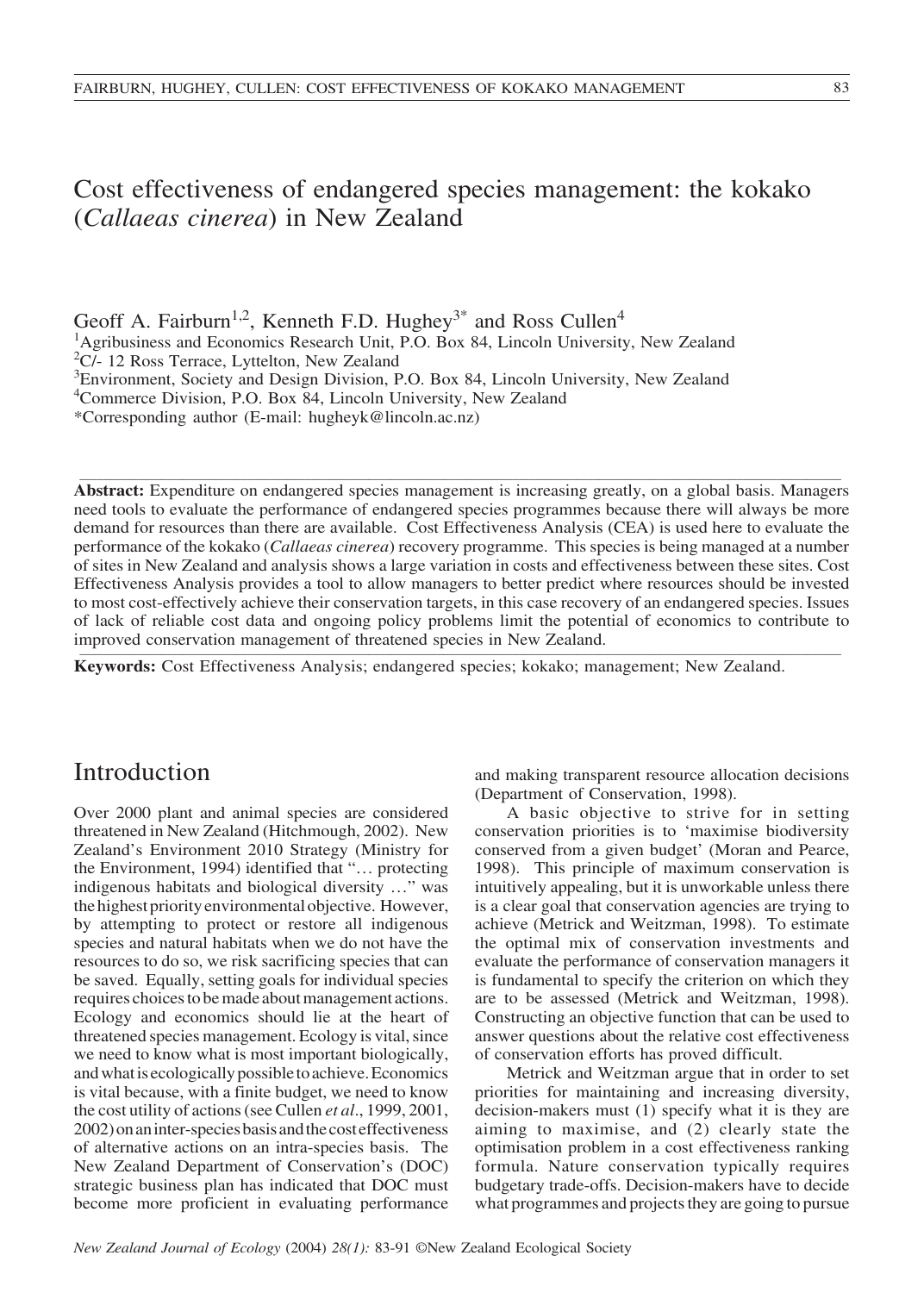Cost effectiveness of endangered species management: the kokako (*Callaeas cinerea*) in New Zealand

Geoff A. Fairburn<sup>1,2</sup>, Kenneth F.D. Hughey<sup>3\*</sup> and Ross Cullen<sup>4</sup>

<sup>1</sup>Agribusiness and Economics Research Unit, P.O. Box 84, Lincoln University, New Zealand <sup>2</sup>C/- 12 Ross Terrace, Lyttelton, New Zealand

<sup>3</sup>Environment, Society and Design Division, P.O. Box 84, Lincoln University, New Zealand

4 Commerce Division, P.O. Box 84, Lincoln University, New Zealand

\*Corresponding author (E-mail: hugheyk@lincoln.ac.nz)

**Abstract:** Expenditure on endangered species management is increasing greatly, on a global basis. Managers need tools to evaluate the performance of endangered species programmes because there will always be more demand for resources than there are available. Cost Effectiveness Analysis (CEA) is used here to evaluate the performance of the kokako (*Callaeas cinerea*) recovery programme. This species is being managed at a number of sites in New Zealand and analysis shows a large variation in costs and effectiveness between these sites. Cost Effectiveness Analysis provides a tool to allow managers to better predict where resources should be invested to most cost-effectively achieve their conservation targets, in this case recovery of an endangered species. Issues of lack of reliable cost data and ongoing policy problems limit the potential of economics to contribute to improved conservation management of threatened species in New Zealand.

\_\_\_\_\_\_\_\_\_\_\_\_\_\_\_\_\_\_\_\_\_\_\_\_\_\_\_\_\_\_\_\_\_\_\_\_\_\_\_\_\_\_\_\_\_\_\_\_\_\_\_\_\_\_\_\_\_\_\_\_\_\_\_\_\_\_\_\_\_\_\_\_\_\_\_\_\_\_\_\_\_\_\_\_\_\_\_\_\_\_\_\_\_\_\_\_\_\_\_\_\_\_\_\_\_\_\_\_\_\_\_\_\_\_\_\_\_\_\_\_\_\_\_\_\_\_\_\_\_\_\_\_

**Keywords:** Cost Effectiveness Analysis; endangered species; kokako; management; New Zealand.

# Introduction

Over 2000 plant and animal species are considered threatened in New Zealand (Hitchmough, 2002). New Zealand's Environment 2010 Strategy (Ministry for the Environment, 1994) identified that "… protecting indigenous habitats and biological diversity …" was the highest priority environmental objective. However, by attempting to protect or restore all indigenous species and natural habitats when we do not have the resources to do so, we risk sacrificing species that can be saved. Equally, setting goals for individual species requires choices to be made about management actions. Ecology and economics should lie at the heart of threatened species management. Ecology is vital, since we need to know what is most important biologically, and what is ecologically possible to achieve. Economics is vital because, with a finite budget, we need to know the cost utility of actions (see Cullen *et al*., 1999, 2001, 2002) on an inter-species basis and the cost effectiveness of alternative actions on an intra-species basis. The New Zealand Department of Conservation's (DOC) strategic business plan has indicated that DOC must become more proficient in evaluating performance

and making transparent resource allocation decisions (Department of Conservation, 1998).

A basic objective to strive for in setting conservation priorities is to 'maximise biodiversity conserved from a given budget' (Moran and Pearce, 1998). This principle of maximum conservation is intuitively appealing, but it is unworkable unless there is a clear goal that conservation agencies are trying to achieve (Metrick and Weitzman, 1998). To estimate the optimal mix of conservation investments and evaluate the performance of conservation managers it is fundamental to specify the criterion on which they are to be assessed (Metrick and Weitzman, 1998). Constructing an objective function that can be used to answer questions about the relative cost effectiveness of conservation efforts has proved difficult.

Metrick and Weitzman argue that in order to set priorities for maintaining and increasing diversity, decision-makers must (1) specify what it is they are aiming to maximise, and (2) clearly state the optimisation problem in a cost effectiveness ranking formula. Nature conservation typically requires budgetary trade-offs. Decision-makers have to decide what programmes and projects they are going to pursue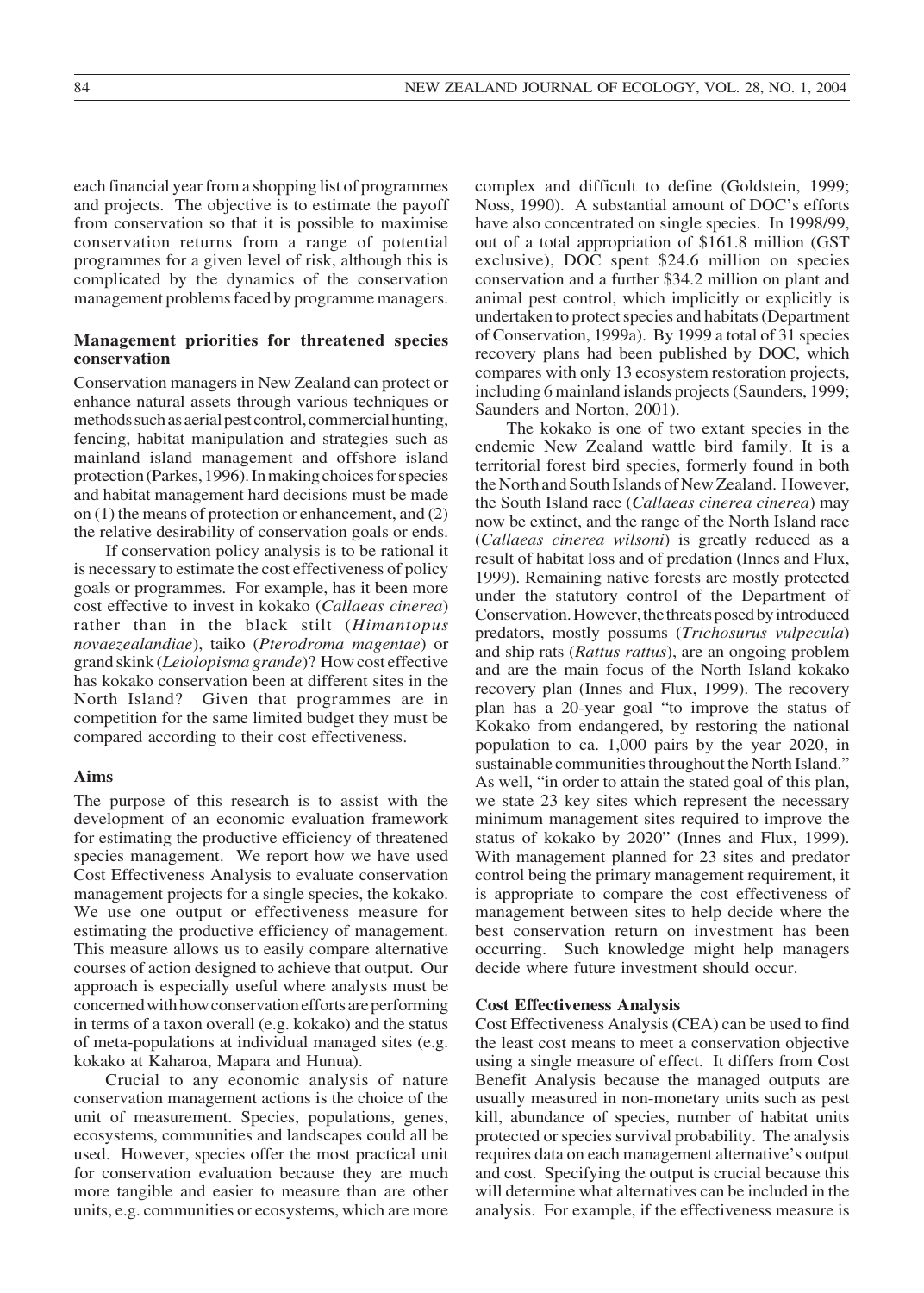each financial year from a shopping list of programmes and projects. The objective is to estimate the payoff from conservation so that it is possible to maximise conservation returns from a range of potential programmes for a given level of risk, although this is complicated by the dynamics of the conservation management problems faced by programme managers.

### **Management priorities for threatened species conservation**

Conservation managers in New Zealand can protect or enhance natural assets through various techniques or methods such as aerial pest control, commercial hunting, fencing, habitat manipulation and strategies such as mainland island management and offshore island protection (Parkes, 1996). In making choices for species and habitat management hard decisions must be made on (1) the means of protection or enhancement, and (2) the relative desirability of conservation goals or ends.

If conservation policy analysis is to be rational it is necessary to estimate the cost effectiveness of policy goals or programmes. For example, has it been more cost effective to invest in kokako (*Callaeas cinerea*) rather than in the black stilt (*Himantopus novaezealandiae*), taiko (*Pterodroma magentae*) or grand skink (*Leiolopisma grande*)? How cost effective has kokako conservation been at different sites in the North Island? Given that programmes are in competition for the same limited budget they must be compared according to their cost effectiveness.

### **Aims**

The purpose of this research is to assist with the development of an economic evaluation framework for estimating the productive efficiency of threatened species management. We report how we have used Cost Effectiveness Analysis to evaluate conservation management projects for a single species, the kokako. We use one output or effectiveness measure for estimating the productive efficiency of management. This measure allows us to easily compare alternative courses of action designed to achieve that output. Our approach is especially useful where analysts must be concerned with how conservation efforts are performing in terms of a taxon overall (e.g. kokako) and the status of meta-populations at individual managed sites (e.g. kokako at Kaharoa, Mapara and Hunua).

Crucial to any economic analysis of nature conservation management actions is the choice of the unit of measurement. Species, populations, genes, ecosystems, communities and landscapes could all be used. However, species offer the most practical unit for conservation evaluation because they are much more tangible and easier to measure than are other units, e.g. communities or ecosystems, which are more

complex and difficult to define (Goldstein, 1999; Noss, 1990). A substantial amount of DOC's efforts have also concentrated on single species. In 1998/99, out of a total appropriation of \$161.8 million (GST exclusive), DOC spent \$24.6 million on species conservation and a further \$34.2 million on plant and animal pest control, which implicitly or explicitly is undertaken to protect species and habitats (Department of Conservation, 1999a). By 1999 a total of 31 species recovery plans had been published by DOC, which compares with only 13 ecosystem restoration projects, including 6 mainland islands projects (Saunders, 1999; Saunders and Norton, 2001).

The kokako is one of two extant species in the endemic New Zealand wattle bird family. It is a territorial forest bird species, formerly found in both the North and South Islands of New Zealand. However, the South Island race (*Callaeas cinerea cinerea*) may now be extinct, and the range of the North Island race (*Callaeas cinerea wilsoni*) is greatly reduced as a result of habitat loss and of predation (Innes and Flux, 1999). Remaining native forests are mostly protected under the statutory control of the Department of Conservation. However, the threats posed by introduced predators, mostly possums (*Trichosurus vulpecula*) and ship rats (*Rattus rattus*), are an ongoing problem and are the main focus of the North Island kokako recovery plan (Innes and Flux, 1999). The recovery plan has a 20-year goal "to improve the status of Kokako from endangered, by restoring the national population to ca. 1,000 pairs by the year 2020, in sustainable communities throughout the North Island." As well, "in order to attain the stated goal of this plan, we state 23 key sites which represent the necessary minimum management sites required to improve the status of kokako by 2020" (Innes and Flux, 1999). With management planned for 23 sites and predator control being the primary management requirement, it is appropriate to compare the cost effectiveness of management between sites to help decide where the best conservation return on investment has been occurring. Such knowledge might help managers decide where future investment should occur.

#### **Cost Effectiveness Analysis**

Cost Effectiveness Analysis (CEA) can be used to find the least cost means to meet a conservation objective using a single measure of effect. It differs from Cost Benefit Analysis because the managed outputs are usually measured in non-monetary units such as pest kill, abundance of species, number of habitat units protected or species survival probability. The analysis requires data on each management alternative's output and cost. Specifying the output is crucial because this will determine what alternatives can be included in the analysis. For example, if the effectiveness measure is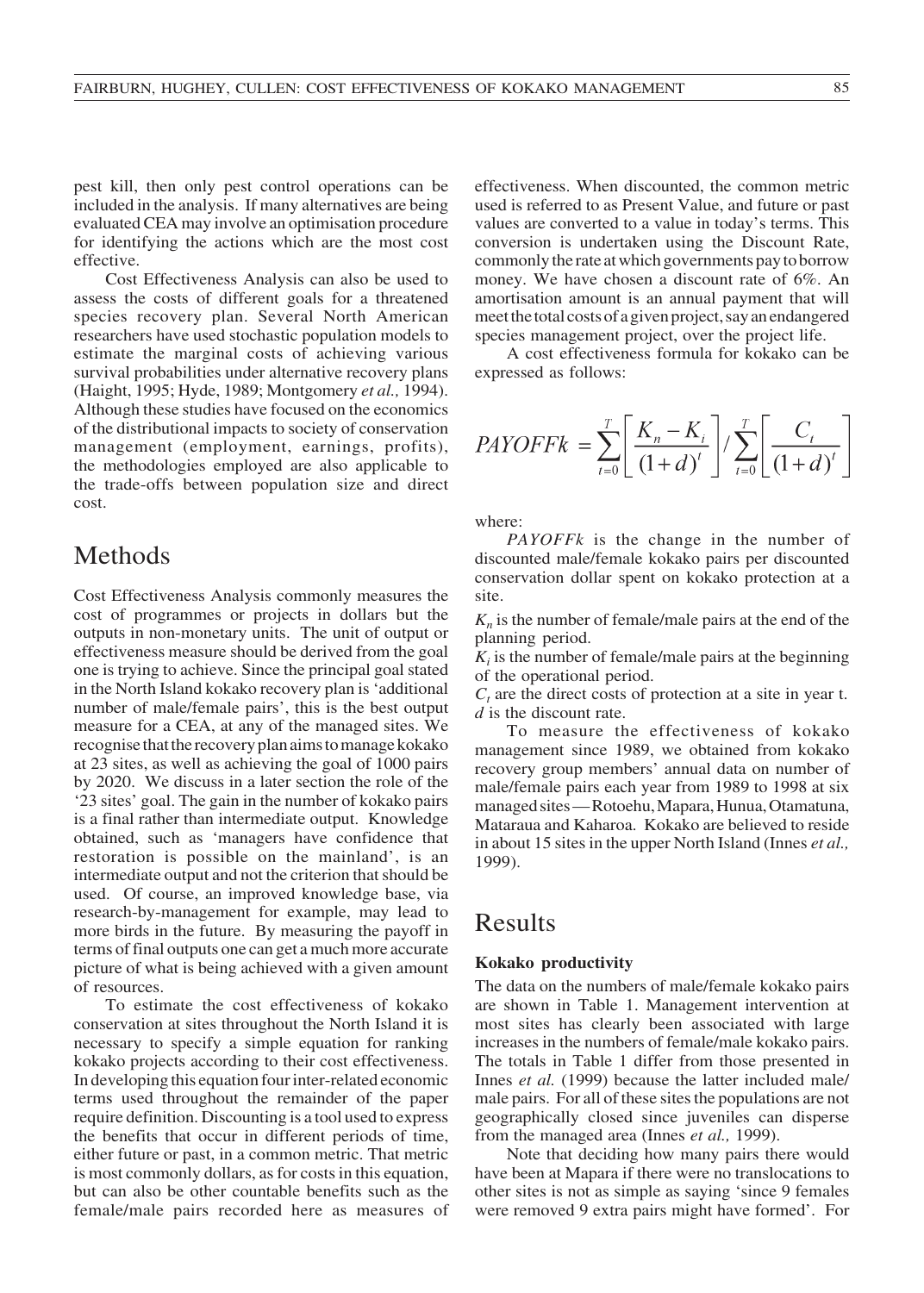pest kill, then only pest control operations can be included in the analysis. If many alternatives are being evaluated CEA may involve an optimisation procedure for identifying the actions which are the most cost effective.

Cost Effectiveness Analysis can also be used to assess the costs of different goals for a threatened species recovery plan. Several North American researchers have used stochastic population models to estimate the marginal costs of achieving various survival probabilities under alternative recovery plans (Haight, 1995; Hyde, 1989; Montgomery *et al.,* 1994). Although these studies have focused on the economics of the distributional impacts to society of conservation management (employment, earnings, profits), the methodologies employed are also applicable to the trade-offs between population size and direct cost.

### Methods

Cost Effectiveness Analysis commonly measures the cost of programmes or projects in dollars but the outputs in non-monetary units. The unit of output or effectiveness measure should be derived from the goal one is trying to achieve. Since the principal goal stated in the North Island kokako recovery plan is 'additional number of male/female pairs', this is the best output measure for a CEA, at any of the managed sites. We recognise that the recovery plan aims to manage kokako at 23 sites, as well as achieving the goal of 1000 pairs by 2020. We discuss in a later section the role of the '23 sites' goal. The gain in the number of kokako pairs is a final rather than intermediate output. Knowledge obtained, such as 'managers have confidence that restoration is possible on the mainland', is an intermediate output and not the criterion that should be used. Of course, an improved knowledge base, via research-by-management for example, may lead to more birds in the future. By measuring the payoff in terms of final outputs one can get a much more accurate picture of what is being achieved with a given amount of resources.

To estimate the cost effectiveness of kokako conservation at sites throughout the North Island it is necessary to specify a simple equation for ranking kokako projects according to their cost effectiveness. In developing this equation four inter-related economic terms used throughout the remainder of the paper require definition. Discounting is a tool used to express the benefits that occur in different periods of time, either future or past, in a common metric. That metric is most commonly dollars, as for costs in this equation, but can also be other countable benefits such as the female/male pairs recorded here as measures of effectiveness. When discounted, the common metric used is referred to as Present Value, and future or past values are converted to a value in today's terms. This conversion is undertaken using the Discount Rate, commonly the rate at which governments pay to borrow money. We have chosen a discount rate of 6%. An amortisation amount is an annual payment that will meet the total costs of a given project, say an endangered species management project, over the project life.

A cost effectiveness formula for kokako can be expressed as follows:

$$
PAYOFFk = \sum_{t=0}^{T} \left[ \frac{K_n - K_i}{(1+d)^t} \right] / \sum_{t=0}^{T} \left[ \frac{C_t}{(1+d)^t} \right]
$$

where:

*PAYOFFk* is the change in the number of discounted male/female kokako pairs per discounted conservation dollar spent on kokako protection at a site.

 $K_n$  is the number of female/male pairs at the end of the planning period.

 $K_i$  is the number of female/male pairs at the beginning of the operational period.

 $C_t$  are the direct costs of protection at a site in year t. *d* is the discount rate.

To measure the effectiveness of kokako management since 1989, we obtained from kokako recovery group members' annual data on number of male/female pairs each year from 1989 to 1998 at six managed sites — Rotoehu, Mapara, Hunua, Otamatuna, Mataraua and Kaharoa. Kokako are believed to reside in about 15 sites in the upper North Island (Innes *et al.,* 1999).

### Results

### **Kokako productivity**

The data on the numbers of male/female kokako pairs are shown in Table 1. Management intervention at most sites has clearly been associated with large increases in the numbers of female/male kokako pairs. The totals in Table 1 differ from those presented in Innes *et al.* (1999) because the latter included male/ male pairs. For all of these sites the populations are not geographically closed since juveniles can disperse from the managed area (Innes *et al.,* 1999).

Note that deciding how many pairs there would have been at Mapara if there were no translocations to other sites is not as simple as saying 'since 9 females were removed 9 extra pairs might have formed'. For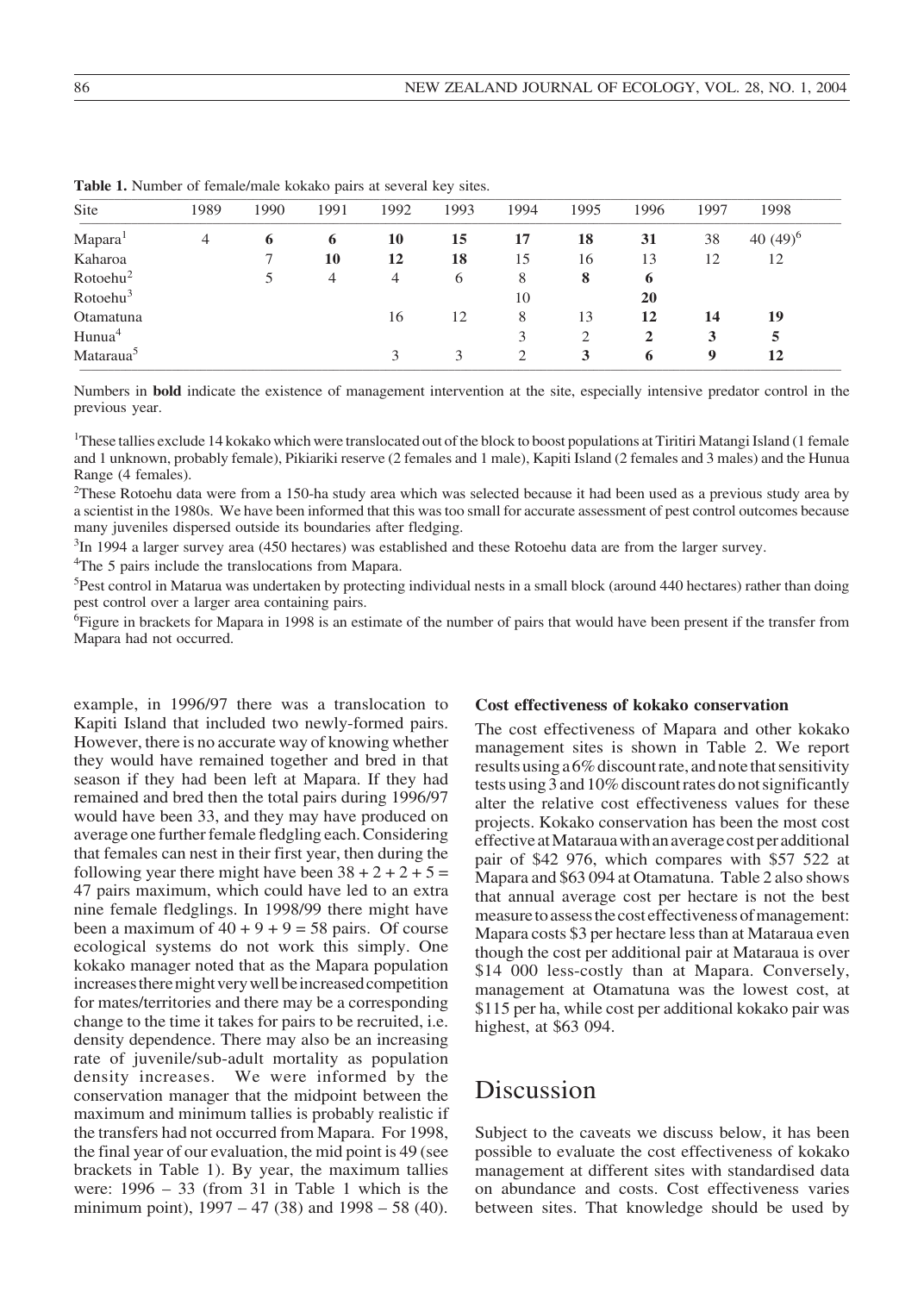| 1989 | 1990 | 1991 | 1992 | 1993 | 1994          | 1995 | 1996 | 1997 | 1998        |
|------|------|------|------|------|---------------|------|------|------|-------------|
| 4    | 6    | 6    | 10   | 15   | 17            | 18   | 31   | 38   | 40 $(49)^6$ |
|      |      | 10   | 12   | 18   | 15            | 16   | 13   | 12   | 12          |
|      |      | 4    | 4    | 6    | 8             | 8    | 6    |      |             |
|      |      |      |      |      | 10            |      | 20   |      |             |
|      |      |      | 16   | 12   | 8             | 13   | 12   | 14   | 19          |
|      |      |      |      |      | 3             | 2    | 2    | 3    | 5           |
|      |      |      | 3    |      | $\mathcal{D}$ | 3    | 6    | 9    | 12          |
|      |      |      |      |      |               |      |      |      |             |

Table 1. Number of female/male kokako pairs at several key sites.

Numbers in **bold** indicate the existence of management intervention at the site, especially intensive predator control in the previous year.

1 These tallies exclude 14 kokako which were translocated out of the block to boost populations at Tiritiri Matangi Island (1 female and 1 unknown, probably female), Pikiariki reserve (2 females and 1 male), Kapiti Island (2 females and 3 males) and the Hunua Range (4 females).

<sup>2</sup>These Rotoehu data were from a 150-ha study area which was selected because it had been used as a previous study area by a scientist in the 1980s. We have been informed that this was too small for accurate assessment of pest control outcomes because many juveniles dispersed outside its boundaries after fledging.

<sup>3</sup>In 1994 a larger survey area (450 hectares) was established and these Rotoehu data are from the larger survey.

4 The 5 pairs include the translocations from Mapara.

<sup>5</sup>Pest control in Matarua was undertaken by protecting individual nests in a small block (around 440 hectares) rather than doing pest control over a larger area containing pairs.

<sup>6</sup>Figure in brackets for Mapara in 1998 is an estimate of the number of pairs that would have been present if the transfer from Mapara had not occurred.

example, in 1996/97 there was a translocation to Kapiti Island that included two newly-formed pairs. However, there is no accurate way of knowing whether they would have remained together and bred in that season if they had been left at Mapara. If they had remained and bred then the total pairs during 1996/97 would have been 33, and they may have produced on average one further female fledgling each. Considering that females can nest in their first year, then during the following year there might have been  $38 + 2 + 2 + 5 =$ 47 pairs maximum, which could have led to an extra nine female fledglings. In 1998/99 there might have been a maximum of  $40 + 9 + 9 = 58$  pairs. Of course ecological systems do not work this simply. One kokako manager noted that as the Mapara population increases there might very well be increased competition for mates/territories and there may be a corresponding change to the time it takes for pairs to be recruited, i.e. density dependence. There may also be an increasing rate of juvenile/sub-adult mortality as population density increases. We were informed by the conservation manager that the midpoint between the maximum and minimum tallies is probably realistic if the transfers had not occurred from Mapara. For 1998, the final year of our evaluation, the mid point is 49 (see brackets in Table 1). By year, the maximum tallies were: 1996 – 33 (from 31 in Table 1 which is the minimum point), 1997 – 47 (38) and 1998 – 58 (40).

### **Cost effectiveness of kokako conservation**

The cost effectiveness of Mapara and other kokako management sites is shown in Table 2. We report results using a 6% discount rate, and note that sensitivity tests using 3 and 10% discount rates do not significantly alter the relative cost effectiveness values for these projects. Kokako conservation has been the most cost effective at Mataraua with an average cost per additional pair of \$42 976, which compares with \$57 522 at Mapara and \$63 094 at Otamatuna. Table 2 also shows that annual average cost per hectare is not the best measure to assess the cost effectiveness of management: Mapara costs \$3 per hectare less than at Mataraua even though the cost per additional pair at Mataraua is over \$14 000 less-costly than at Mapara. Conversely, management at Otamatuna was the lowest cost, at \$115 per ha, while cost per additional kokako pair was highest, at \$63 094.

# Discussion

Subject to the caveats we discuss below, it has been possible to evaluate the cost effectiveness of kokako management at different sites with standardised data on abundance and costs. Cost effectiveness varies between sites. That knowledge should be used by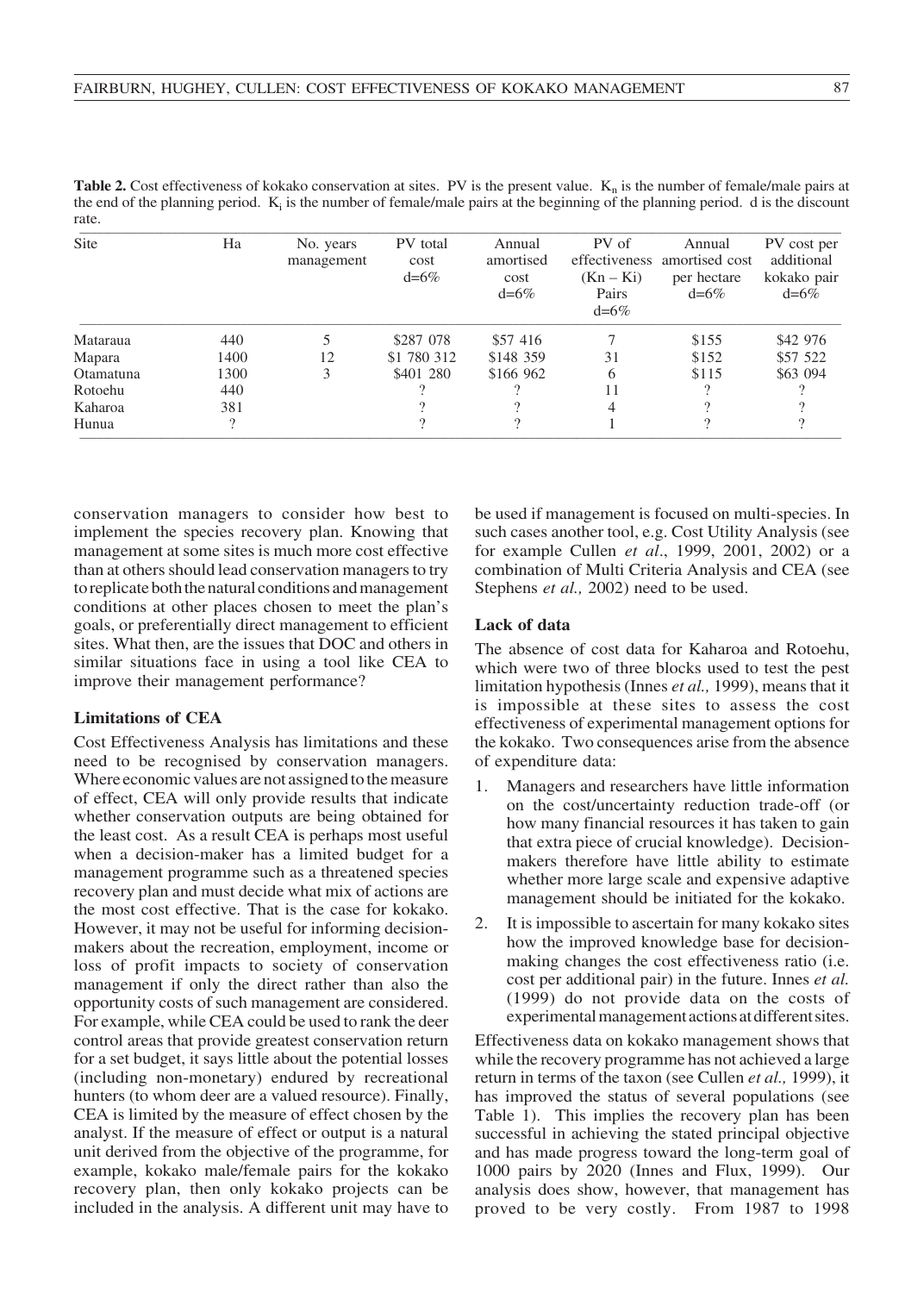| <b>Table 2.</b> Cost effectiveness of kokako conservation at sites. PV is the present value. $K_n$ is the number of female/male pairs at |  |  |
|------------------------------------------------------------------------------------------------------------------------------------------|--|--|
| the end of the planning period. $K_i$ is the number of female/male pairs at the beginning of the planning period. d is the discount      |  |  |
| rate.                                                                                                                                    |  |  |
|                                                                                                                                          |  |  |

| Site      | Ha   | No. years<br>management | PV total<br>cost<br>$d=6\%$ | Annual<br>amortised<br>cost<br>$d=6\%$ | PV of<br>$(Kn - Ki)$<br>Pairs<br>$d=6%$ | Annual<br>effectiveness amortised cost<br>per hectare<br>$d=6\%$ | PV cost per<br>additional<br>kokako pair<br>$d = 6\%$ |
|-----------|------|-------------------------|-----------------------------|----------------------------------------|-----------------------------------------|------------------------------------------------------------------|-------------------------------------------------------|
| Mataraua  | 440  |                         | \$287 078                   | \$57 416                               |                                         | \$155                                                            | \$42 976                                              |
| Mapara    | 1400 | 12                      | \$1 780 312                 | \$148 359                              | 31                                      | \$152                                                            | \$57 522                                              |
| Otamatuna | 1300 | 3                       | \$401 280                   | \$166 962                              | 6                                       | \$115                                                            | \$63 094                                              |
| Rotoehu   | 440  |                         | റ                           |                                        | 11                                      | 2                                                                |                                                       |
| Kaharoa   | 381  |                         |                             |                                        | 4                                       |                                                                  |                                                       |
| Hunua     |      |                         |                             |                                        |                                         | $\Omega$                                                         |                                                       |

conservation managers to consider how best to implement the species recovery plan. Knowing that management at some sites is much more cost effective than at others should lead conservation managers to try to replicate both the natural conditions and management conditions at other places chosen to meet the plan's goals, or preferentially direct management to efficient sites. What then, are the issues that DOC and others in similar situations face in using a tool like CEA to improve their management performance?

#### **Limitations of CEA**

Cost Effectiveness Analysis has limitations and these need to be recognised by conservation managers. Where economic values are not assigned to the measure of effect, CEA will only provide results that indicate whether conservation outputs are being obtained for the least cost. As a result CEA is perhaps most useful when a decision-maker has a limited budget for a management programme such as a threatened species recovery plan and must decide what mix of actions are the most cost effective. That is the case for kokako. However, it may not be useful for informing decisionmakers about the recreation, employment, income or loss of profit impacts to society of conservation management if only the direct rather than also the opportunity costs of such management are considered. For example, while CEA could be used to rank the deer control areas that provide greatest conservation return for a set budget, it says little about the potential losses (including non-monetary) endured by recreational hunters (to whom deer are a valued resource). Finally, CEA is limited by the measure of effect chosen by the analyst. If the measure of effect or output is a natural unit derived from the objective of the programme, for example, kokako male/female pairs for the kokako recovery plan, then only kokako projects can be included in the analysis. A different unit may have to

be used if management is focused on multi-species. In such cases another tool, e.g. Cost Utility Analysis (see for example Cullen *et al*., 1999, 2001, 2002) or a combination of Multi Criteria Analysis and CEA (see Stephens *et al.,* 2002) need to be used.

### **Lack of data**

The absence of cost data for Kaharoa and Rotoehu, which were two of three blocks used to test the pest limitation hypothesis (Innes *et al.,* 1999), means that it is impossible at these sites to assess the cost effectiveness of experimental management options for the kokako. Two consequences arise from the absence of expenditure data:

- 1. Managers and researchers have little information on the cost/uncertainty reduction trade-off (or how many financial resources it has taken to gain that extra piece of crucial knowledge). Decisionmakers therefore have little ability to estimate whether more large scale and expensive adaptive management should be initiated for the kokako.
- 2. It is impossible to ascertain for many kokako sites how the improved knowledge base for decisionmaking changes the cost effectiveness ratio (i.e. cost per additional pair) in the future. Innes *et al.* (1999) do not provide data on the costs of experimental management actions at different sites.

Effectiveness data on kokako management shows that while the recovery programme has not achieved a large return in terms of the taxon (see Cullen *et al.,* 1999), it has improved the status of several populations (see Table 1). This implies the recovery plan has been successful in achieving the stated principal objective and has made progress toward the long-term goal of 1000 pairs by 2020 (Innes and Flux, 1999). Our analysis does show, however, that management has proved to be very costly. From 1987 to 1998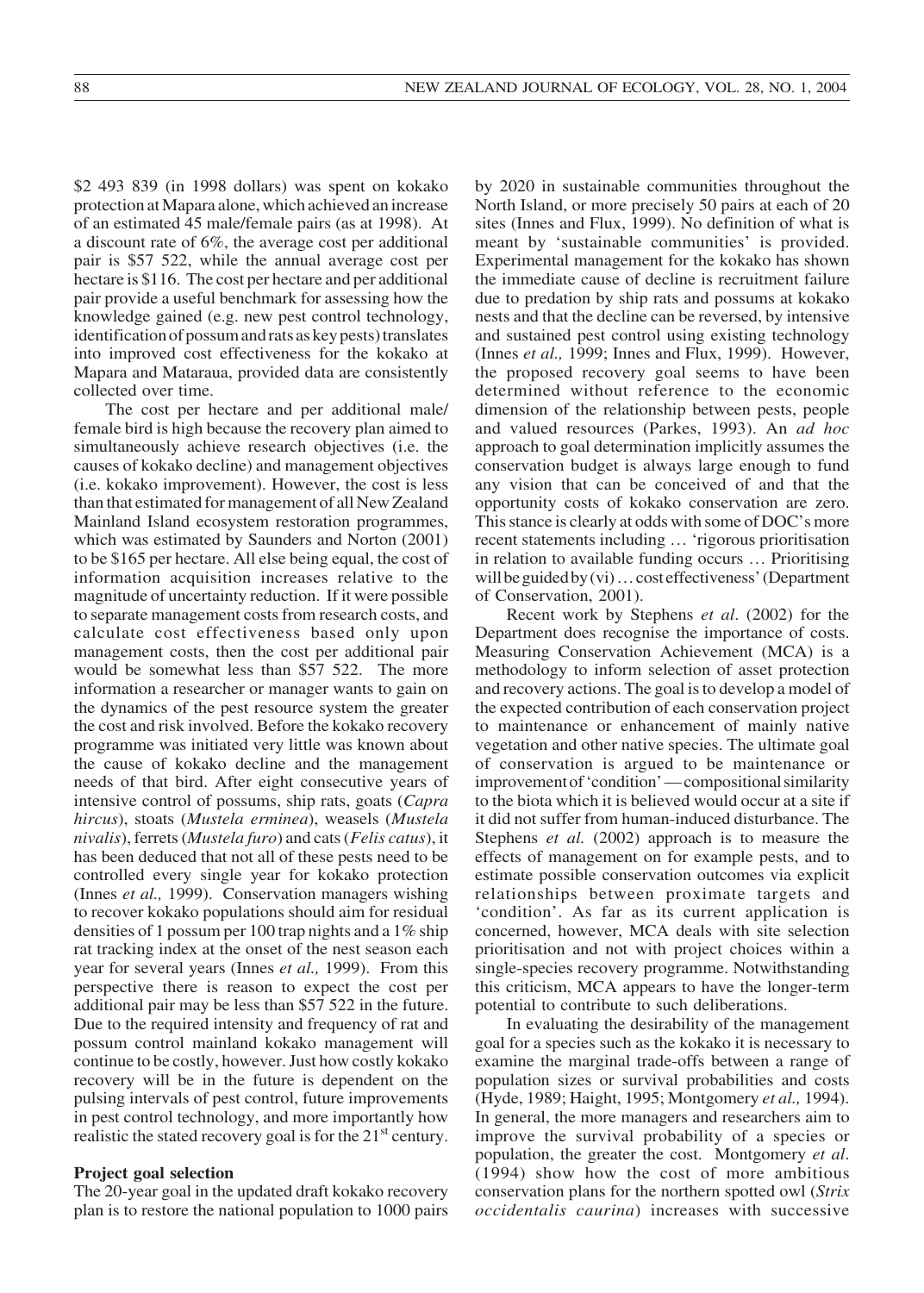\$2 493 839 (in 1998 dollars) was spent on kokako protection at Mapara alone, which achieved an increase of an estimated 45 male/female pairs (as at 1998). At a discount rate of 6%, the average cost per additional pair is \$57 522, while the annual average cost per hectare is \$116. The cost per hectare and per additional pair provide a useful benchmark for assessing how the knowledge gained (e.g. new pest control technology, identification of possum and rats as key pests) translates into improved cost effectiveness for the kokako at Mapara and Mataraua, provided data are consistently collected over time.

The cost per hectare and per additional male/ female bird is high because the recovery plan aimed to simultaneously achieve research objectives (i.e. the causes of kokako decline) and management objectives (i.e. kokako improvement). However, the cost is less than that estimated for management of all New Zealand Mainland Island ecosystem restoration programmes, which was estimated by Saunders and Norton (2001) to be \$165 per hectare. All else being equal, the cost of information acquisition increases relative to the magnitude of uncertainty reduction. If it were possible to separate management costs from research costs, and calculate cost effectiveness based only upon management costs, then the cost per additional pair would be somewhat less than \$57 522. The more information a researcher or manager wants to gain on the dynamics of the pest resource system the greater the cost and risk involved. Before the kokako recovery programme was initiated very little was known about the cause of kokako decline and the management needs of that bird. After eight consecutive years of intensive control of possums, ship rats, goats (*Capra hircus*), stoats (*Mustela erminea*), weasels (*Mustela nivalis*), ferrets (*Mustela furo*) and cats (*Felis catus*), it has been deduced that not all of these pests need to be controlled every single year for kokako protection (Innes *et al.,* 1999). Conservation managers wishing to recover kokako populations should aim for residual densities of 1 possum per 100 trap nights and a 1% ship rat tracking index at the onset of the nest season each year for several years (Innes *et al.,* 1999). From this perspective there is reason to expect the cost per additional pair may be less than \$57 522 in the future. Due to the required intensity and frequency of rat and possum control mainland kokako management will continue to be costly, however. Just how costly kokako recovery will be in the future is dependent on the pulsing intervals of pest control, future improvements in pest control technology, and more importantly how realistic the stated recovery goal is for the  $21<sup>st</sup>$  century.

#### **Project goal selection**

The 20-year goal in the updated draft kokako recovery plan is to restore the national population to 1000 pairs by 2020 in sustainable communities throughout the North Island, or more precisely 50 pairs at each of 20 sites (Innes and Flux, 1999). No definition of what is meant by 'sustainable communities' is provided. Experimental management for the kokako has shown the immediate cause of decline is recruitment failure due to predation by ship rats and possums at kokako nests and that the decline can be reversed, by intensive and sustained pest control using existing technology (Innes *et al.,* 1999; Innes and Flux, 1999). However, the proposed recovery goal seems to have been determined without reference to the economic dimension of the relationship between pests, people and valued resources (Parkes, 1993). An *ad hoc* approach to goal determination implicitly assumes the conservation budget is always large enough to fund any vision that can be conceived of and that the opportunity costs of kokako conservation are zero. This stance is clearly at odds with some of DOC's more recent statements including … 'rigorous prioritisation in relation to available funding occurs … Prioritising will be guided by (vi) … cost effectiveness' (Department of Conservation, 2001).

Recent work by Stephens *et al*. (2002) for the Department does recognise the importance of costs. Measuring Conservation Achievement (MCA) is a methodology to inform selection of asset protection and recovery actions. The goal is to develop a model of the expected contribution of each conservation project to maintenance or enhancement of mainly native vegetation and other native species. The ultimate goal of conservation is argued to be maintenance or improvement of 'condition' — compositional similarity to the biota which it is believed would occur at a site if it did not suffer from human-induced disturbance. The Stephens *et al.* (2002) approach is to measure the effects of management on for example pests, and to estimate possible conservation outcomes via explicit relationships between proximate targets and 'condition'. As far as its current application is concerned, however, MCA deals with site selection prioritisation and not with project choices within a single-species recovery programme. Notwithstanding this criticism, MCA appears to have the longer-term potential to contribute to such deliberations.

In evaluating the desirability of the management goal for a species such as the kokako it is necessary to examine the marginal trade-offs between a range of population sizes or survival probabilities and costs (Hyde, 1989; Haight, 1995; Montgomery *et al.,* 1994). In general, the more managers and researchers aim to improve the survival probability of a species or population, the greater the cost. Montgomery *et al*. (1994) show how the cost of more ambitious conservation plans for the northern spotted owl (*Strix occidentalis caurina*) increases with successive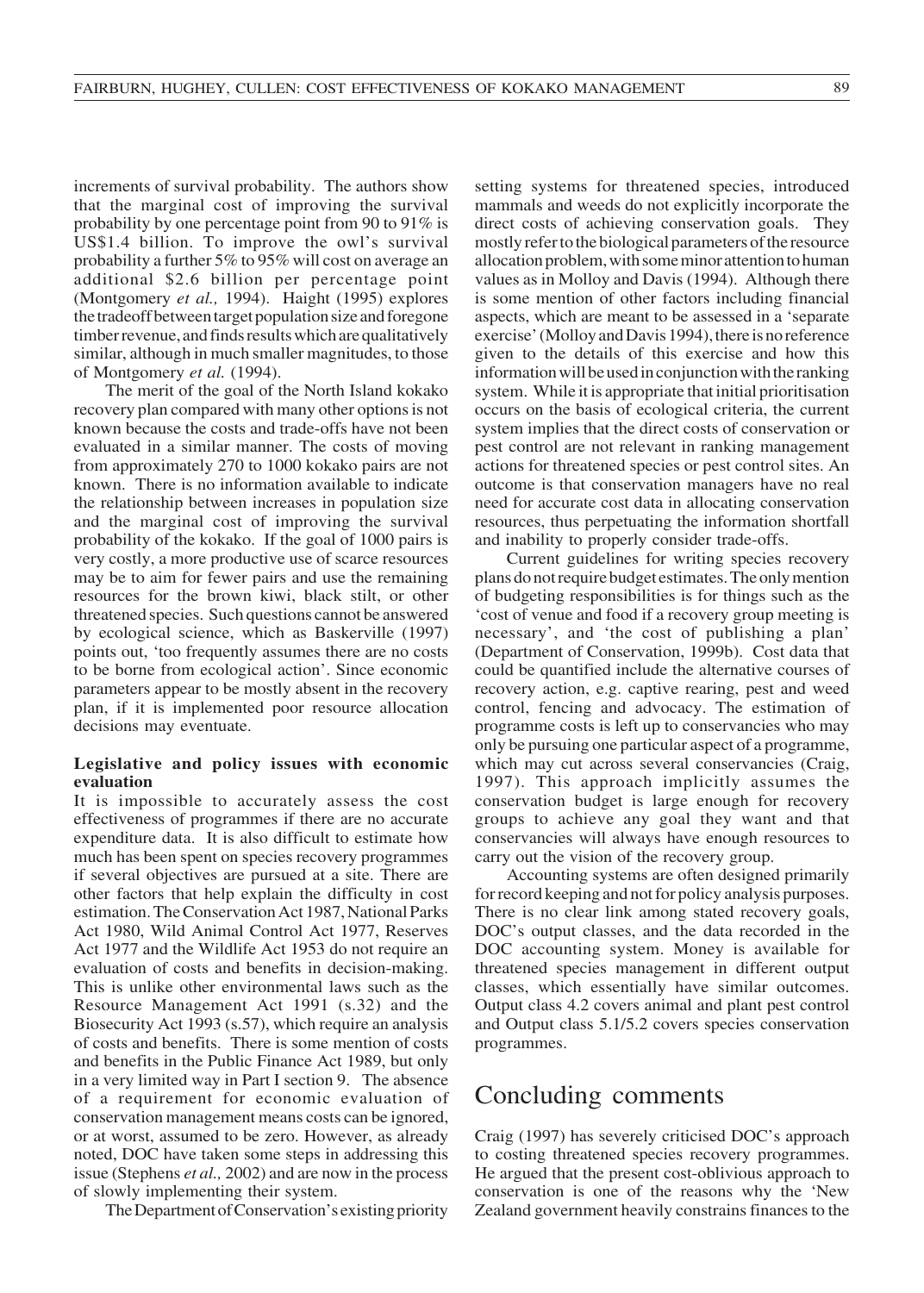increments of survival probability. The authors show that the marginal cost of improving the survival probability by one percentage point from 90 to 91% is US\$1.4 billion. To improve the owl's survival probability a further 5% to 95% will cost on average an additional \$2.6 billion per percentage point (Montgomery *et al.,* 1994). Haight (1995) explores the tradeoff between target population size and foregone timber revenue, and finds results which are qualitatively similar, although in much smaller magnitudes, to those of Montgomery *et al.* (1994).

The merit of the goal of the North Island kokako recovery plan compared with many other options is not known because the costs and trade-offs have not been evaluated in a similar manner. The costs of moving from approximately 270 to 1000 kokako pairs are not known. There is no information available to indicate the relationship between increases in population size and the marginal cost of improving the survival probability of the kokako. If the goal of 1000 pairs is very costly, a more productive use of scarce resources may be to aim for fewer pairs and use the remaining resources for the brown kiwi, black stilt, or other threatened species. Such questions cannot be answered by ecological science, which as Baskerville (1997) points out, 'too frequently assumes there are no costs to be borne from ecological action'. Since economic parameters appear to be mostly absent in the recovery plan, if it is implemented poor resource allocation decisions may eventuate.

### **Legislative and policy issues with economic evaluation**

It is impossible to accurately assess the cost effectiveness of programmes if there are no accurate expenditure data. It is also difficult to estimate how much has been spent on species recovery programmes if several objectives are pursued at a site. There are other factors that help explain the difficulty in cost estimation. The Conservation Act 1987, National Parks Act 1980, Wild Animal Control Act 1977, Reserves Act 1977 and the Wildlife Act 1953 do not require an evaluation of costs and benefits in decision-making. This is unlike other environmental laws such as the Resource Management Act 1991 (s.32) and the Biosecurity Act 1993 (s.57), which require an analysis of costs and benefits. There is some mention of costs and benefits in the Public Finance Act 1989, but only in a very limited way in Part I section 9. The absence of a requirement for economic evaluation of conservation management means costs can be ignored, or at worst, assumed to be zero. However, as already noted, DOC have taken some steps in addressing this issue (Stephens *et al.,* 2002) and are now in the process of slowly implementing their system.

The Department of Conservation's existing priority

setting systems for threatened species, introduced mammals and weeds do not explicitly incorporate the direct costs of achieving conservation goals. They mostly refer to the biological parameters of the resource allocation problem, with some minor attention to human values as in Molloy and Davis (1994). Although there is some mention of other factors including financial aspects, which are meant to be assessed in a 'separate exercise' (Molloy and Davis 1994), there is no reference given to the details of this exercise and how this information will be used in conjunction with the ranking system. While it is appropriate that initial prioritisation occurs on the basis of ecological criteria, the current system implies that the direct costs of conservation or pest control are not relevant in ranking management actions for threatened species or pest control sites. An outcome is that conservation managers have no real need for accurate cost data in allocating conservation resources, thus perpetuating the information shortfall and inability to properly consider trade-offs.

Current guidelines for writing species recovery plans do not require budget estimates. The only mention of budgeting responsibilities is for things such as the 'cost of venue and food if a recovery group meeting is necessary', and 'the cost of publishing a plan' (Department of Conservation, 1999b). Cost data that could be quantified include the alternative courses of recovery action, e.g. captive rearing, pest and weed control, fencing and advocacy. The estimation of programme costs is left up to conservancies who may only be pursuing one particular aspect of a programme, which may cut across several conservancies (Craig, 1997). This approach implicitly assumes the conservation budget is large enough for recovery groups to achieve any goal they want and that conservancies will always have enough resources to carry out the vision of the recovery group.

Accounting systems are often designed primarily for record keeping and not for policy analysis purposes. There is no clear link among stated recovery goals, DOC's output classes, and the data recorded in the DOC accounting system. Money is available for threatened species management in different output classes, which essentially have similar outcomes. Output class 4.2 covers animal and plant pest control and Output class 5.1/5.2 covers species conservation programmes.

## Concluding comments

Craig (1997) has severely criticised DOC's approach to costing threatened species recovery programmes. He argued that the present cost-oblivious approach to conservation is one of the reasons why the 'New Zealand government heavily constrains finances to the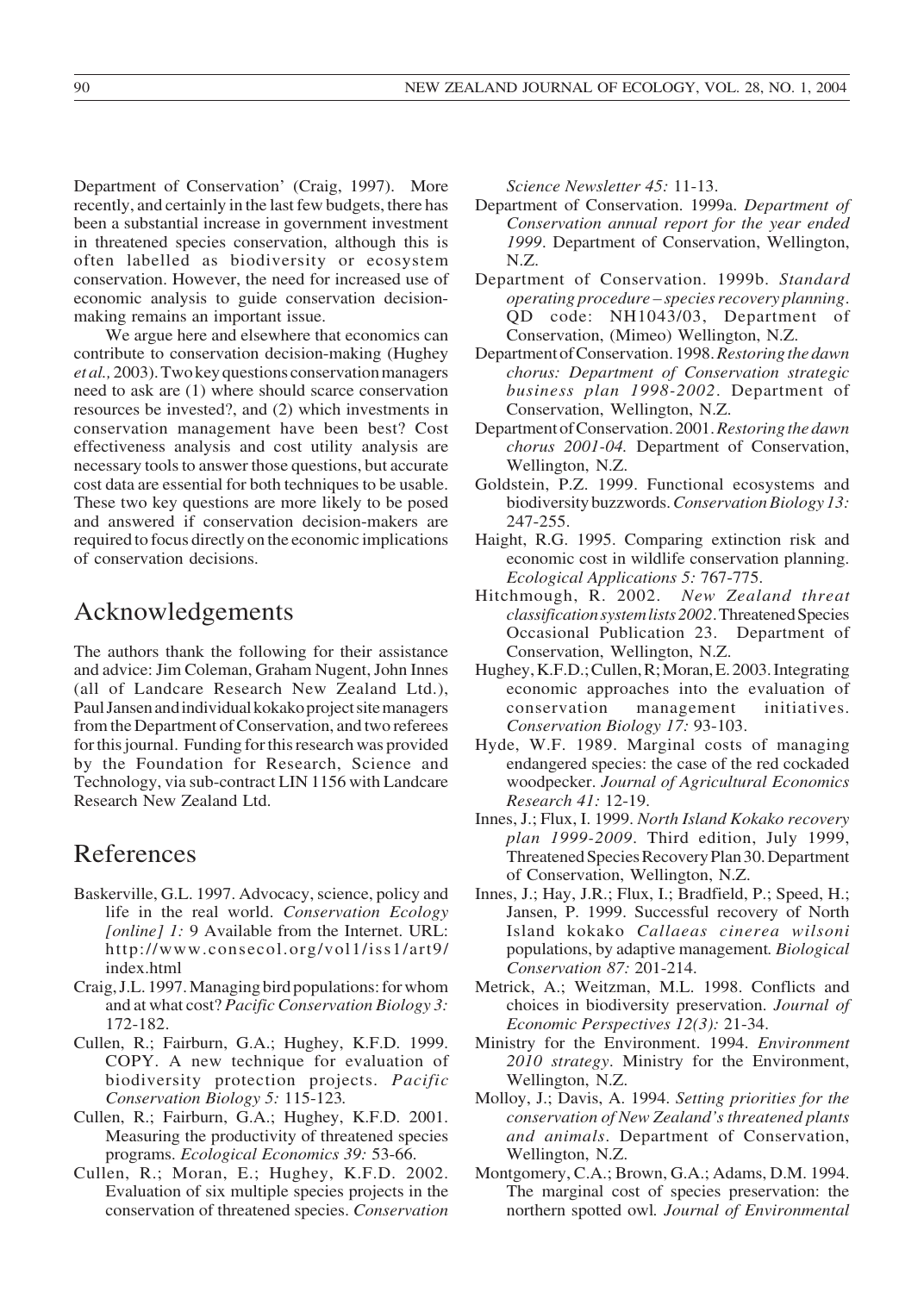Department of Conservation' (Craig, 1997). More recently, and certainly in the last few budgets, there has been a substantial increase in government investment in threatened species conservation, although this is often labelled as biodiversity or ecosystem conservation. However, the need for increased use of economic analysis to guide conservation decisionmaking remains an important issue.

We argue here and elsewhere that economics can contribute to conservation decision-making (Hughey *et al.,* 2003). Two key questions conservation managers need to ask are (1) where should scarce conservation resources be invested?, and (2) which investments in conservation management have been best? Cost effectiveness analysis and cost utility analysis are necessary tools to answer those questions, but accurate cost data are essential for both techniques to be usable. These two key questions are more likely to be posed and answered if conservation decision-makers are required to focus directly on the economic implications of conservation decisions.

## Acknowledgements

The authors thank the following for their assistance and advice: Jim Coleman, Graham Nugent, John Innes (all of Landcare Research New Zealand Ltd.), Paul Jansen and individual kokako project site managers from the Department of Conservation, and two referees for this journal. Funding for this research was provided by the Foundation for Research, Science and Technology, via sub-contract LIN 1156 with Landcare Research New Zealand Ltd.

# References

- Baskerville, G.L. 1997. Advocacy, science, policy and life in the real world. *Conservation Ecology [online] 1:* 9 Available from the Internet. URL: http://www.consecol.org/vol1/iss1/art9/ index.html
- Craig, J.L. 1997. Managing bird populations: for whom and at what cost? *Pacific Conservation Biology 3:* 172-182.
- Cullen, R.; Fairburn, G.A.; Hughey, K.F.D. 1999. COPY. A new technique for evaluation of biodiversity protection projects. *Pacific Conservation Biology 5:* 115-123*.*
- Cullen, R.; Fairburn, G.A.; Hughey, K.F.D. 2001. Measuring the productivity of threatened species programs. *Ecological Economics 39:* 53-66.
- Cullen, R.; Moran, E.; Hughey, K.F.D. 2002. Evaluation of six multiple species projects in the conservation of threatened species. *Conservation*

*Science Newsletter 45:* 11-13.

- Department of Conservation. 1999a. *Department of Conservation annual report for the year ended 1999*. Department of Conservation, Wellington, N.Z.
- Department of Conservation. 1999b. *Standard operating procedure – species recovery planning*. QD code: NH1043/03, Department of Conservation, (Mimeo) Wellington, N.Z.
- Department of Conservation. 1998. *Restoring the dawn chorus: Department of Conservation strategic business plan 1998-2002*. Department of Conservation, Wellington, N.Z.
- Department of Conservation. 2001. *Restoring the dawn chorus 2001-04.* Department of Conservation, Wellington, N.Z.
- Goldstein, P.Z. 1999. Functional ecosystems and biodiversity buzzwords. *Conservation Biology13:* 247-255.
- Haight, R.G. 1995. Comparing extinction risk and economic cost in wildlife conservation planning. *Ecological Applications 5:* 767-775.
- Hitchmough, R. 2002. *New Zealand threat classification system lists 2002*. Threatened Species Occasional Publication 23. Department of Conservation, Wellington, N.Z.
- Hughey, K.F.D.; Cullen, R; Moran, E. 2003. Integrating economic approaches into the evaluation of conservation management initiatives. *Conservation Biology 17:* 93-103.
- Hyde, W.F. 1989. Marginal costs of managing endangered species: the case of the red cockaded woodpecker. *Journal of Agricultural Economics Research 41:* 12-19.
- Innes, J.; Flux, I. 1999. *North Island Kokako recovery plan 1999-2009*. Third edition, July 1999, Threatened Species Recovery Plan 30. Department of Conservation, Wellington, N.Z.
- Innes, J.; Hay, J.R.; Flux, I.; Bradfield, P.; Speed, H.; Jansen, P. 1999. Successful recovery of North Island kokako *Callaeas cinerea wilsoni* populations, by adaptive management*. Biological Conservation 87:* 201-214.
- Metrick, A.; Weitzman, M.L. 1998. Conflicts and choices in biodiversity preservation. *Journal of Economic Perspectives 12(3):* 21-34.
- Ministry for the Environment. 1994. *Environment 2010 strategy*. Ministry for the Environment, Wellington, N.Z.
- Molloy, J.; Davis, A. 1994. *Setting priorities for the conservation of New Zealand's threatened plants and animals*. Department of Conservation, Wellington, N.Z.
- Montgomery, C.A.; Brown, G.A.; Adams, D.M. 1994. The marginal cost of species preservation: the northern spotted owl*. Journal of Environmental*